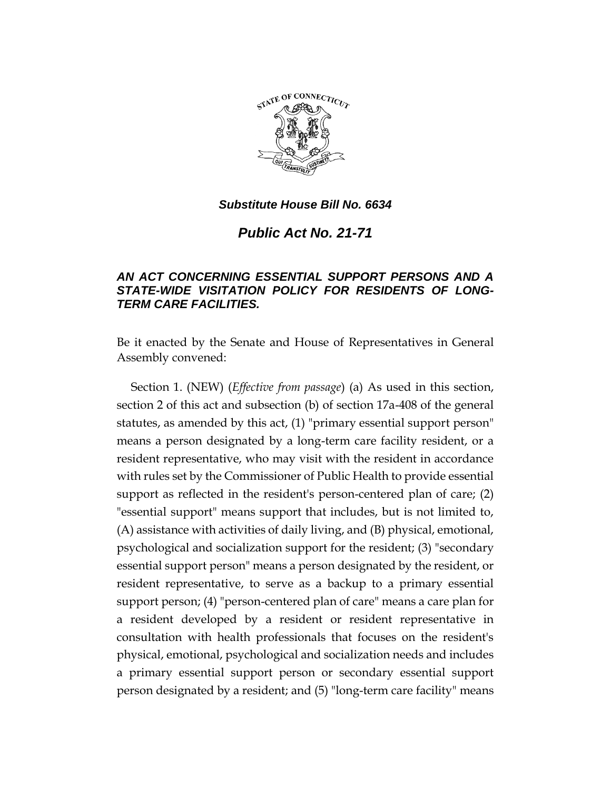

*Public Act No. 21-71*

## *AN ACT CONCERNING ESSENTIAL SUPPORT PERSONS AND A STATE-WIDE VISITATION POLICY FOR RESIDENTS OF LONG-TERM CARE FACILITIES.*

Be it enacted by the Senate and House of Representatives in General Assembly convened:

Section 1. (NEW) (*Effective from passage*) (a) As used in this section, section 2 of this act and subsection (b) of section 17a-408 of the general statutes, as amended by this act, (1) "primary essential support person" means a person designated by a long-term care facility resident, or a resident representative, who may visit with the resident in accordance with rules set by the Commissioner of Public Health to provide essential support as reflected in the resident's person-centered plan of care; (2) "essential support" means support that includes, but is not limited to, (A) assistance with activities of daily living, and (B) physical, emotional, psychological and socialization support for the resident; (3) "secondary essential support person" means a person designated by the resident, or resident representative, to serve as a backup to a primary essential support person; (4) "person-centered plan of care" means a care plan for a resident developed by a resident or resident representative in consultation with health professionals that focuses on the resident's physical, emotional, psychological and socialization needs and includes a primary essential support person or secondary essential support person designated by a resident; and (5) "long-term care facility" means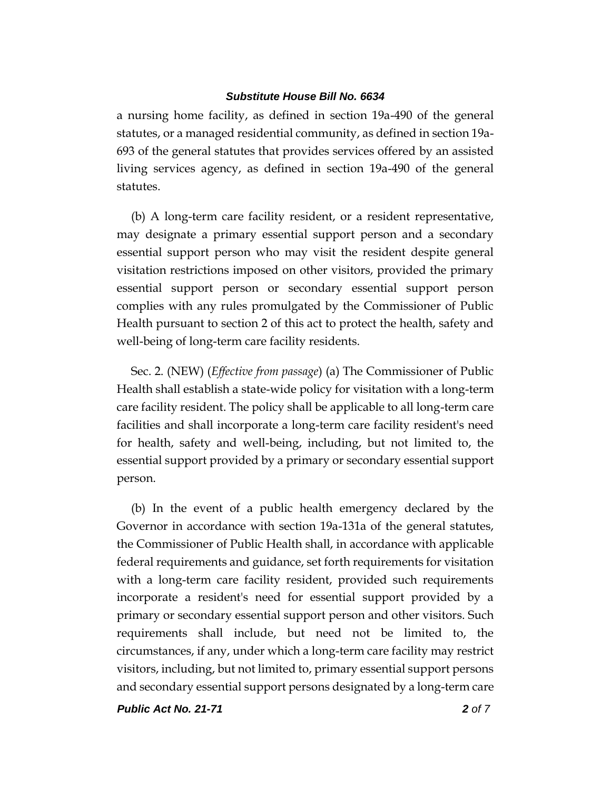a nursing home facility, as defined in section 19a-490 of the general statutes, or a managed residential community, as defined in section 19a-693 of the general statutes that provides services offered by an assisted living services agency, as defined in section 19a-490 of the general statutes.

(b) A long-term care facility resident, or a resident representative, may designate a primary essential support person and a secondary essential support person who may visit the resident despite general visitation restrictions imposed on other visitors, provided the primary essential support person or secondary essential support person complies with any rules promulgated by the Commissioner of Public Health pursuant to section 2 of this act to protect the health, safety and well-being of long-term care facility residents.

Sec. 2. (NEW) (*Effective from passage*) (a) The Commissioner of Public Health shall establish a state-wide policy for visitation with a long-term care facility resident. The policy shall be applicable to all long-term care facilities and shall incorporate a long-term care facility resident's need for health, safety and well-being, including, but not limited to, the essential support provided by a primary or secondary essential support person.

(b) In the event of a public health emergency declared by the Governor in accordance with section 19a-131a of the general statutes, the Commissioner of Public Health shall, in accordance with applicable federal requirements and guidance, set forth requirements for visitation with a long-term care facility resident, provided such requirements incorporate a resident's need for essential support provided by a primary or secondary essential support person and other visitors. Such requirements shall include, but need not be limited to, the circumstances, if any, under which a long-term care facility may restrict visitors, including, but not limited to, primary essential support persons and secondary essential support persons designated by a long-term care

*Public Act No. 21-71 2 of 7*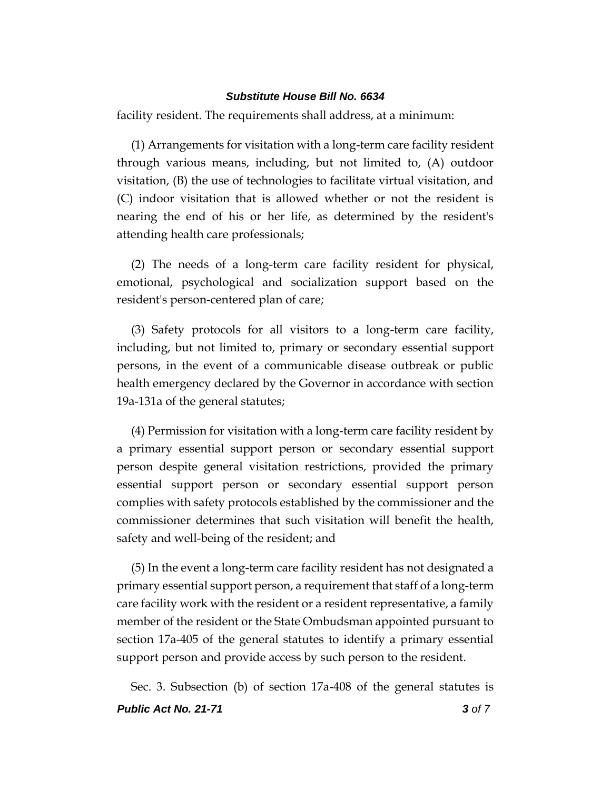facility resident. The requirements shall address, at a minimum:

(1) Arrangements for visitation with a long-term care facility resident through various means, including, but not limited to, (A) outdoor visitation, (B) the use of technologies to facilitate virtual visitation, and (C) indoor visitation that is allowed whether or not the resident is nearing the end of his or her life, as determined by the resident's attending health care professionals;

(2) The needs of a long-term care facility resident for physical, emotional, psychological and socialization support based on the resident's person-centered plan of care;

(3) Safety protocols for all visitors to a long-term care facility, including, but not limited to, primary or secondary essential support persons, in the event of a communicable disease outbreak or public health emergency declared by the Governor in accordance with section 19a-131a of the general statutes;

(4) Permission for visitation with a long-term care facility resident by a primary essential support person or secondary essential support person despite general visitation restrictions, provided the primary essential support person or secondary essential support person complies with safety protocols established by the commissioner and the commissioner determines that such visitation will benefit the health, safety and well-being of the resident; and

(5) In the event a long-term care facility resident has not designated a primary essential support person, a requirement that staff of a long-term care facility work with the resident or a resident representative, a family member of the resident or the State Ombudsman appointed pursuant to section 17a-405 of the general statutes to identify a primary essential support person and provide access by such person to the resident.

*Public Act No. 21-71 3 of 7* Sec. 3. Subsection (b) of section 17a-408 of the general statutes is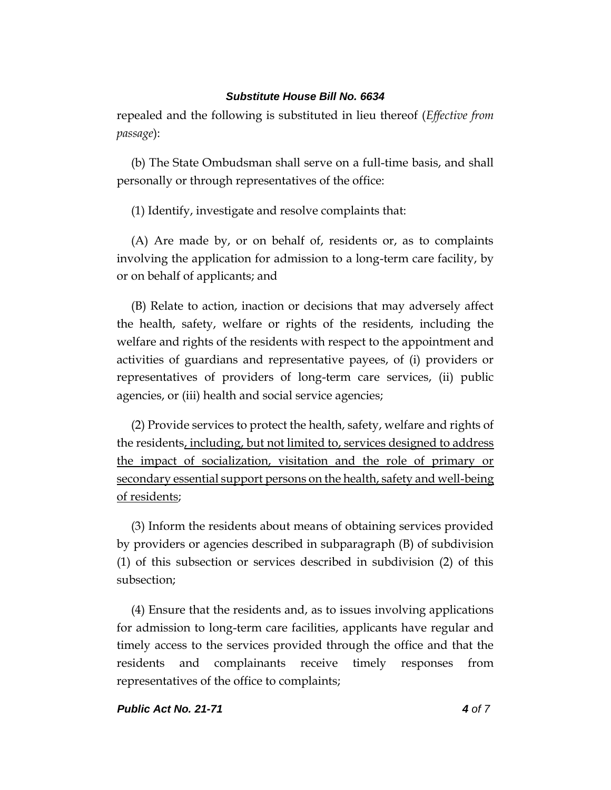repealed and the following is substituted in lieu thereof (*Effective from passage*):

(b) The State Ombudsman shall serve on a full-time basis, and shall personally or through representatives of the office:

(1) Identify, investigate and resolve complaints that:

(A) Are made by, or on behalf of, residents or, as to complaints involving the application for admission to a long-term care facility, by or on behalf of applicants; and

(B) Relate to action, inaction or decisions that may adversely affect the health, safety, welfare or rights of the residents, including the welfare and rights of the residents with respect to the appointment and activities of guardians and representative payees, of (i) providers or representatives of providers of long-term care services, (ii) public agencies, or (iii) health and social service agencies;

(2) Provide services to protect the health, safety, welfare and rights of the residents, including, but not limited to, services designed to address the impact of socialization, visitation and the role of primary or secondary essential support persons on the health, safety and well-being of residents;

(3) Inform the residents about means of obtaining services provided by providers or agencies described in subparagraph (B) of subdivision (1) of this subsection or services described in subdivision (2) of this subsection;

(4) Ensure that the residents and, as to issues involving applications for admission to long-term care facilities, applicants have regular and timely access to the services provided through the office and that the residents and complainants receive timely responses from representatives of the office to complaints;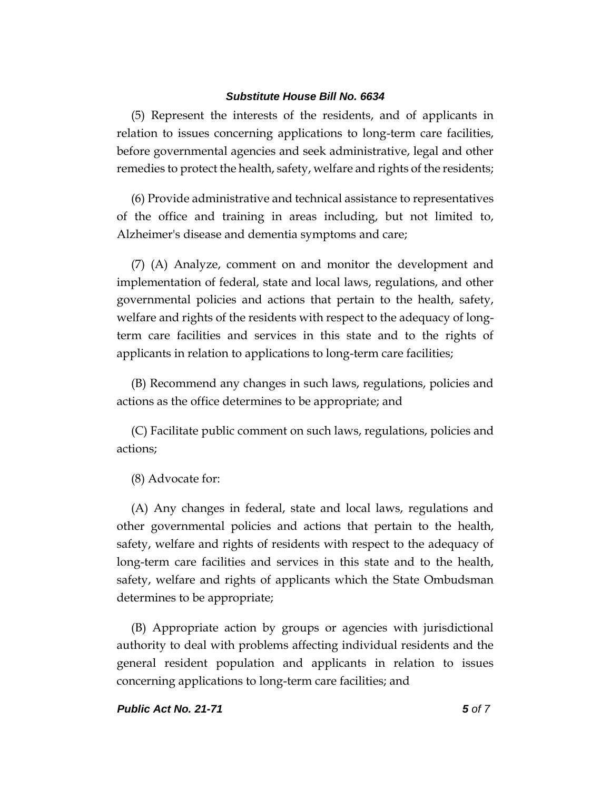(5) Represent the interests of the residents, and of applicants in relation to issues concerning applications to long-term care facilities, before governmental agencies and seek administrative, legal and other remedies to protect the health, safety, welfare and rights of the residents;

(6) Provide administrative and technical assistance to representatives of the office and training in areas including, but not limited to, Alzheimer's disease and dementia symptoms and care;

(7) (A) Analyze, comment on and monitor the development and implementation of federal, state and local laws, regulations, and other governmental policies and actions that pertain to the health, safety, welfare and rights of the residents with respect to the adequacy of longterm care facilities and services in this state and to the rights of applicants in relation to applications to long-term care facilities;

(B) Recommend any changes in such laws, regulations, policies and actions as the office determines to be appropriate; and

(C) Facilitate public comment on such laws, regulations, policies and actions;

(8) Advocate for:

(A) Any changes in federal, state and local laws, regulations and other governmental policies and actions that pertain to the health, safety, welfare and rights of residents with respect to the adequacy of long-term care facilities and services in this state and to the health, safety, welfare and rights of applicants which the State Ombudsman determines to be appropriate;

(B) Appropriate action by groups or agencies with jurisdictional authority to deal with problems affecting individual residents and the general resident population and applicants in relation to issues concerning applications to long-term care facilities; and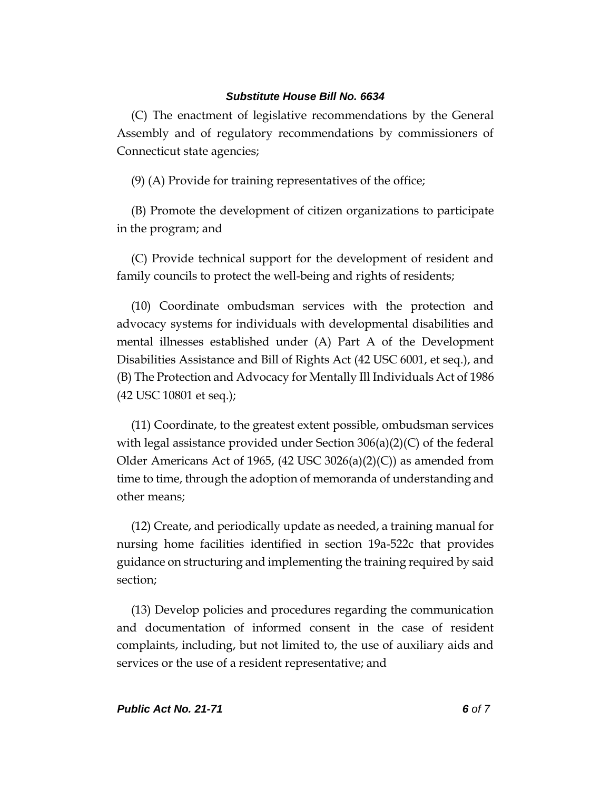(C) The enactment of legislative recommendations by the General Assembly and of regulatory recommendations by commissioners of Connecticut state agencies;

(9) (A) Provide for training representatives of the office;

(B) Promote the development of citizen organizations to participate in the program; and

(C) Provide technical support for the development of resident and family councils to protect the well-being and rights of residents;

(10) Coordinate ombudsman services with the protection and advocacy systems for individuals with developmental disabilities and mental illnesses established under (A) Part A of the Development Disabilities Assistance and Bill of Rights Act (42 USC 6001, et seq.), and (B) The Protection and Advocacy for Mentally Ill Individuals Act of 1986 (42 USC 10801 et seq.);

(11) Coordinate, to the greatest extent possible, ombudsman services with legal assistance provided under Section 306(a)(2)(C) of the federal Older Americans Act of 1965, (42 USC 3026(a)(2)(C)) as amended from time to time, through the adoption of memoranda of understanding and other means;

(12) Create, and periodically update as needed, a training manual for nursing home facilities identified in section 19a-522c that provides guidance on structuring and implementing the training required by said section;

(13) Develop policies and procedures regarding the communication and documentation of informed consent in the case of resident complaints, including, but not limited to, the use of auxiliary aids and services or the use of a resident representative; and